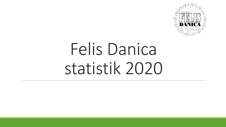

# Felis Danica statistik 2020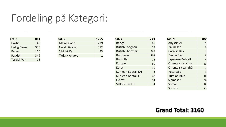### Fordeling på Kategori:

| Kat. 1              | 861 |
|---------------------|-----|
| Exotic              | 48  |
| <b>Hellig Birma</b> | 336 |
| Perser              | 110 |
| Ragdoll             | 349 |
| <b>Tyrkisk Van</b>  | 18  |

| <b>Kat. 2</b>     | 1255 |
|-------------------|------|
| <b>Maine Coon</b> | 779  |
| Norsk Skovkat     | 382  |
| Sibirisk Kat      | 93   |
| Tyrkisk Angora    |      |

| Kat. 3                   | 754 |
|--------------------------|-----|
| Bengal                   | 86  |
| <b>British Longhair</b>  | 19  |
| <b>British Shorthair</b> | 362 |
| <b>Burmeser</b>          | 108 |
| Burmilla                 | 14  |
| Europé                   | 80  |
| Korat                    | 16  |
| Kurilean Bobtail KH      | 3   |
| Kurilean Bobtail LH      | 48  |
| Ocicat                   | 14  |
| Selkirk Rex LH           | 4   |

| Kat. 4              | 290            |
|---------------------|----------------|
| Abyssinier          | 89             |
| <b>Balineser</b>    | $\overline{2}$ |
| <b>Cornish Rex</b>  | 1              |
| Devon Rex           | 9              |
| Japanese Bobtail    | 4              |
| Orientalsk Korthår  | 53             |
| Orientalsk Langhår  | 7              |
| Peterbald           | 4              |
| <b>Russian Blue</b> | 10             |
| Siameser            | 56             |
| Somali              | 18             |
| Sphynx              | 37             |

#### **Grand Total: 3160**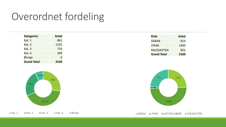## Overordnet fordeling

| <b>Kategorier</b>  | Antal |
|--------------------|-------|
| Kat. 1             | 861   |
| Kat. 2             | 1255  |
| Kat. 3             | 754   |
| Kat. 4             | 290   |
| Øvrige             | O     |
| <b>Grand Total</b> | 3160  |

| 757 | 2400<br>861 |  |
|-----|-------------|--|
|     | 1270        |  |
|     |             |  |

■ Kat. 1 ■ Kat. 2 ■ Kat. 3 ■ Kat. 4 ■ Øvrige

| <b>Klub</b>        | <b>Antal</b> |
|--------------------|--------------|
| <b>DARAK</b>       | 814          |
| JYRAK              | 1495         |
| <b>RACEKATTEN</b>  | 851          |
| <b>Grand Total</b> | 3160         |



**DARAK JYRAK KATTEKLUBBEN RACEKATTEN**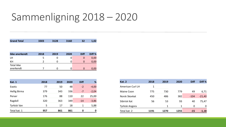#### Sammenligning 2018 – 2020

| <b>Grand Total</b>  | 3303 | 3128 | 3160 | 32          | 1,02    |
|---------------------|------|------|------|-------------|---------|
|                     |      |      |      |             |         |
| Ikke anerkendt      | 2018 | 2019 | 2020 | <b>Diff</b> | Diff %  |
| LН                  | 5    | 0    | 0    | 0           | 0,00    |
| KH                  | 2    | 0    | 0    | $\mathbf 0$ | 0,00    |
| <b>Total ikke</b>   |      |      |      |             |         |
| anerkendt           | 7    | 0    | 0    | 0           | 0,00    |
|                     |      |      |      |             |         |
| Kat. 1              | 2018 | 2019 | 2020 | <b>Diff</b> | %       |
| Exotic              | 77   | 50   | 48   | $-2$        | $-4,00$ |
| <b>Hellig Birma</b> | 379  | 343  | 336  | $-7$        | $-2,04$ |
| Perser              | 176  | 88   | 110  | 22          | 25,00   |
| Ragdoll             | 320  | 363  | 349  | $-14$       | $-3,86$ |
| Tyrkisk Van         | 5    | 17   | 18   | 1           | 5,88    |
| Total kat. 1        | 957  | 861  | 861  | 0           | 0       |

| <b>Kat. 2</b>    | 2018 | 2019 | 2020 | <b>Diff</b> | Diff %   |
|------------------|------|------|------|-------------|----------|
| American Curl LH | 1    |      |      |             |          |
| Maine Coon       | 775  | 730  | 779  | 49          | 6,71     |
| Norsk Skovkat    | 450  | 486  | 382  | $-104$      | $-21,40$ |
| Sibirisk Kat     | 56   | 53   | 93   | 40          | 75,47    |
| Tyrkisk Angora   |      | 1    | 1    | 0           | O        |
| Total kat. 2     | 1191 | 1270 | 1255 | $-15$       | $-1,18$  |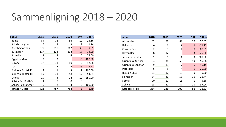### Sammenligning 2018 – 2020

| Kat. 3                   | 2018           | 2019 | 2020 | <b>Diff</b>    | Diff %    |
|--------------------------|----------------|------|------|----------------|-----------|
| Bengal                   | 84             | 76   | 86   | 10             | 13,16     |
| <b>British Longhair</b>  | 16             | 17   | 19   | 2              | 11,76     |
| <b>British Shorthair</b> | 379            | 398  | 362  | $-36$          | $-9,05$   |
| <b>Burmeser</b>          | 117            | 124  | 108  | $-16$          | $-12,90$  |
| <b>Burmilla</b>          | 11             | 8    | 14   | 6              | 75,00     |
| Egyptisk Mau             | 3              | 3    |      | -3             | $-100,00$ |
| Europé                   | 47             | 71   | 80   | 9              | 12,68     |
| Korat                    | 20             | 22   | 16   | -6             | $-27,27$  |
| Kurilean Bobtail KH      | $\overline{2}$ | 1    | 3    | $\overline{2}$ | 200,00    |
| Kurilean Bobtail LH      | 19             | 31   | 48   | 17             | 54,84     |
| Ocicat                   | 19             | 4    | 14   | 10             | 250,00    |
| Selkirk Rex Korthår      | 1              | 0    | 0    | 0              |           |
| Selkirk Rex Langhår      | 5              | 2    | 4    | $\overline{2}$ | 100,00    |
| Kategori 3 ialt          | 723            | 757  | 754  | -3             | $-0,40$   |

| Kat. 4              | 2018           | 2019 | 2020 | <b>Diff</b> | Diff %   |
|---------------------|----------------|------|------|-------------|----------|
| Abyssinier          | 102            | 59   | 89   | 30          | 50,85    |
| <b>Balineser</b>    | 4              | 7    | 2    | $-5$        | $-71,43$ |
| Cornish Rex         | $\overline{2}$ | 9    | 1    | -8          | $-88,89$ |
| Devon Rex           | 8              | 12   | 9    | $-3$        | $-25,00$ |
| Japanese bobtail    | 1              | 1    | 4    | 3           | 300,00   |
| Orientalsk Korthår  | 54             | 34   | 53   | 19          | 55,88    |
| Orientalsk Langhår  | 9              | 13   | 7    | $-6$        | $-46,15$ |
| Peterbald           | 6              | 5    | 4    | $-1$        | $-20,00$ |
| <b>Russian Blue</b> | 51             | 10   | 10   | 0           | 0,00     |
| Siameser            | 54             | 46   | 56   | 10          | 21,74    |
| Somali              | 20             | 17   | 18   | 1           | 5,88     |
| Sphynx              | 23             | 27   | 37   | 10          | 37,04    |
| Kategori 4 ialt     | 334            | 240  | 290  | 50          | 20,83    |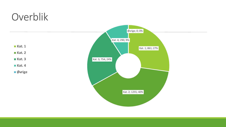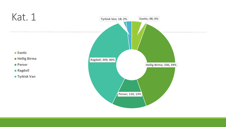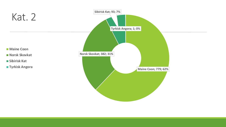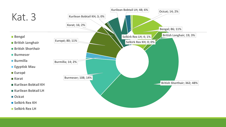